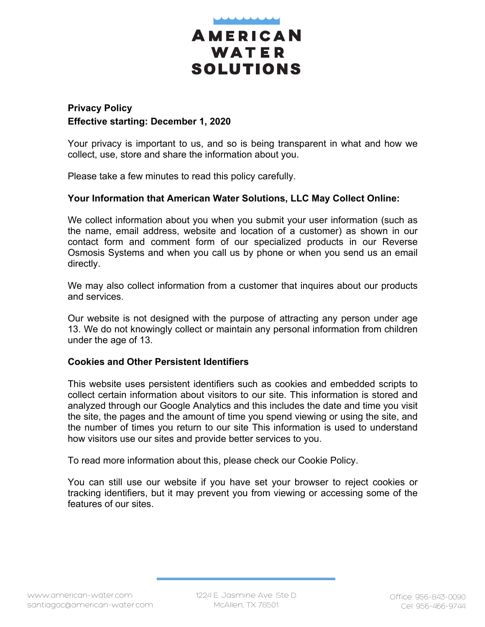

# **Privacy Policy Effective starting: December 1, 2020**

Your privacy is important to us, and so is being transparent in what and how we collect, use, store and share the information about you.

Please take a few minutes to read this policy carefully.

# **Your Information that American Water Solutions, LLC May Collect Online:**

We collect information about you when you submit your user information (such as the name, email address, website and location of a customer) as shown in our contact form and comment form of our specialized products in our Reverse Osmosis Systems and when you call us by phone or when you send us an email directly.

We may also collect information from a customer that inquires about our products and services.

Our website is not designed with the purpose of attracting any person under age 13. We do not knowingly collect or maintain any personal information from children under the age of 13.

### **Cookies and Other Persistent Identifiers**

This website uses persistent identifiers such as cookies and embedded scripts to collect certain information about visitors to our site. This information is stored and analyzed through our Google Analytics and this includes the date and time you visit the site, the pages and the amount of time you spend viewing or using the site, and the number of times you return to our site This information is used to understand how visitors use our sites and provide better services to you.

To read more information about this, please check our Cookie Policy.

You can still use our website if you have set your browser to reject cookies or tracking identifiers, but it may prevent you from viewing or accessing some of the features of our sites.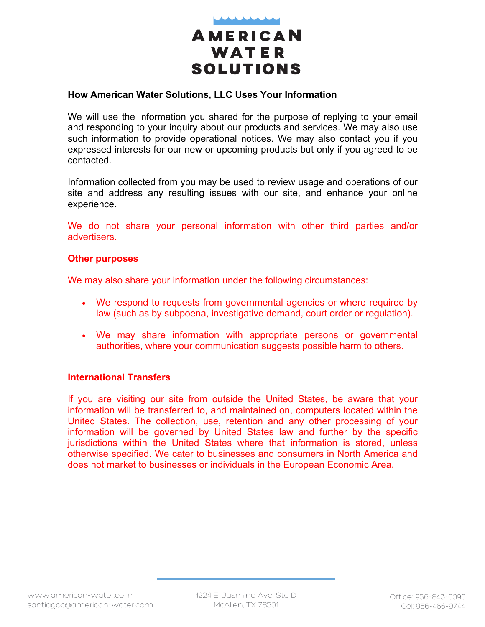

### **How American Water Solutions, LLC Uses Your Information**

We will use the information you shared for the purpose of replying to your email and responding to your inquiry about our products and services. We may also use such information to provide operational notices. We may also contact you if you expressed interests for our new or upcoming products but only if you agreed to be contacted.

Information collected from you may be used to review usage and operations of our site and address any resulting issues with our site, and enhance your online experience.

We do not share your personal information with other third parties and/or advertisers.

#### **Other purposes**

We may also share your information under the following circumstances:

- We respond to requests from governmental agencies or where required by law (such as by subpoena, investigative demand, court order or regulation).
- We may share information with appropriate persons or governmental authorities, where your communication suggests possible harm to others.

### **International Transfers**

If you are visiting our site from outside the United States, be aware that your information will be transferred to, and maintained on, computers located within the United States. The collection, use, retention and any other processing of your information will be governed by United States law and further by the specific jurisdictions within the United States where that information is stored, unless otherwise specified. We cater to businesses and consumers in North America and does not market to businesses or individuals in the European Economic Area.